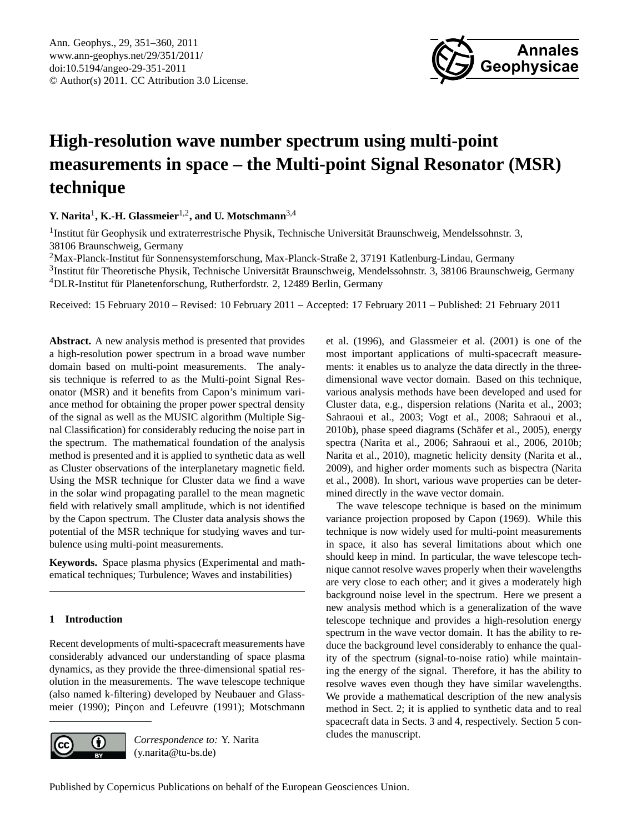

# <span id="page-0-0"></span>**High-resolution wave number spectrum using multi-point measurements in space – the Multi-point Signal Resonator (MSR) technique**

**Y. Narita**<sup>1</sup> **, K.-H. Glassmeier**1,2**, and U. Motschmann**3,4

<sup>1</sup> Institut für Geophysik und extraterrestrische Physik, Technische Universität Braunschweig, Mendelssohnstr. 3, 38106 Braunschweig, Germany

<sup>2</sup>Max-Planck-Institut fur Sonnensystemforschung, Max-Planck-Straße 2, 37191 Katlenburg-Lindau, Germany ¨  $3$ Institut für Theoretische Physik, Technische Universität Braunschweig, Mendelssohnstr. 3, 38106 Braunschweig, Germany  $4$ DLR-Institut für Planetenforschung, Rutherfordstr. 2, 12489 Berlin, Germany

Received: 15 February 2010 – Revised: 10 February 2011 – Accepted: 17 February 2011 – Published: 21 February 2011

**Abstract.** A new analysis method is presented that provides a high-resolution power spectrum in a broad wave number domain based on multi-point measurements. The analysis technique is referred to as the Multi-point Signal Resonator (MSR) and it benefits from Capon's minimum variance method for obtaining the proper power spectral density of the signal as well as the MUSIC algorithm (Multiple Signal Classification) for considerably reducing the noise part in the spectrum. The mathematical foundation of the analysis method is presented and it is applied to synthetic data as well as Cluster observations of the interplanetary magnetic field. Using the MSR technique for Cluster data we find a wave in the solar wind propagating parallel to the mean magnetic field with relatively small amplitude, which is not identified by the Capon spectrum. The Cluster data analysis shows the potential of the MSR technique for studying waves and turbulence using multi-point measurements.

**Keywords.** Space plasma physics (Experimental and mathematical techniques; Turbulence; Waves and instabilities)

## **1 Introduction**

Recent developments of multi-spacecraft measurements have considerably advanced our understanding of space plasma dynamics, as they provide the three-dimensional spatial resolution in the measurements. The wave telescope technique (also named k-filtering) developed by [Neubauer and Glass](#page-8-0)[meier](#page-8-0) [\(1990\)](#page-8-0); Pinçon and Lefeuvre [\(1991\)](#page-8-1); [Motschmann](#page-8-2)



*[Correspondence to:](#page-8-2)* Y. Narita (y.narita@tu-bs.de)

[et al.](#page-8-2) [\(1996\)](#page-8-2), and [Glassmeier et al.](#page-8-3) [\(2001\)](#page-8-3) is one of the most important applications of multi-spacecraft measurements: it enables us to analyze the data directly in the threedimensional wave vector domain. Based on this technique, various analysis methods have been developed and used for Cluster data, e.g., dispersion relations [\(Narita et al.,](#page-8-4) [2003;](#page-8-4) [Sahraoui et al.,](#page-8-5) [2003;](#page-8-5) [Vogt et al.,](#page-9-0) [2008;](#page-9-0) [Sahraoui et al.,](#page-8-6) [2010b\)](#page-8-6), phase speed diagrams (Schäfer et al., [2005\)](#page-9-1), energy spectra [\(Narita et al.,](#page-8-7) [2006;](#page-8-7) [Sahraoui et al.,](#page-8-8) [2006,](#page-8-8) [2010b;](#page-8-6) [Narita et al.,](#page-8-9) [2010\)](#page-8-9), magnetic helicity density [\(Narita et al.,](#page-8-10) [2009\)](#page-8-10), and higher order moments such as bispectra [\(Narita](#page-8-11) [et al.,](#page-8-11) [2008\)](#page-8-11). In short, various wave properties can be determined directly in the wave vector domain.

The wave telescope technique is based on the minimum variance projection proposed by [Capon](#page-7-0) [\(1969\)](#page-7-0). While this technique is now widely used for multi-point measurements in space, it also has several limitations about which one should keep in mind. In particular, the wave telescope technique cannot resolve waves properly when their wavelengths are very close to each other; and it gives a moderately high background noise level in the spectrum. Here we present a new analysis method which is a generalization of the wave telescope technique and provides a high-resolution energy spectrum in the wave vector domain. It has the ability to reduce the background level considerably to enhance the quality of the spectrum (signal-to-noise ratio) while maintaining the energy of the signal. Therefore, it has the ability to resolve waves even though they have similar wavelengths. We provide a mathematical description of the new analysis method in Sect. 2; it is applied to synthetic data and to real spacecraft data in Sects. 3 and 4, respectively. Section 5 concludes the manuscript.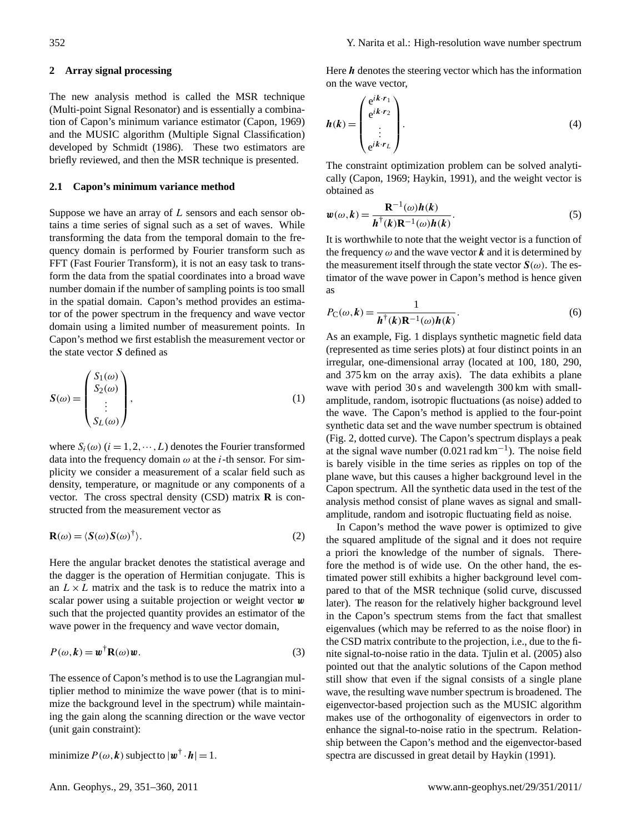The new analysis method is called the MSR technique (Multi-point Signal Resonator) and is essentially a combination of Capon's minimum variance estimator [\(Capon,](#page-7-0) [1969\)](#page-7-0) and the MUSIC algorithm (Multiple Signal Classification) developed by [Schmidt](#page-9-2) [\(1986\)](#page-9-2). These two estimators are briefly reviewed, and then the MSR technique is presented.

## **2.1 Capon's minimum variance method**

Suppose we have an array of  $L$  sensors and each sensor obtains a time series of signal such as a set of waves. While transforming the data from the temporal domain to the frequency domain is performed by Fourier transform such as FFT (Fast Fourier Transform), it is not an easy task to transform the data from the spatial coordinates into a broad wave number domain if the number of sampling points is too small in the spatial domain. Capon's method provides an estimator of the power spectrum in the frequency and wave vector domain using a limited number of measurement points. In Capon's method we first establish the measurement vector or the state vector S defined as

$$
\mathbf{S}(\omega) = \begin{pmatrix} S_1(\omega) \\ S_2(\omega) \\ \vdots \\ S_L(\omega) \end{pmatrix},\tag{1}
$$

where  $S_i(\omega)$  ( $i = 1, 2, \dots, L$ ) denotes the Fourier transformed data into the frequency domain  $\omega$  at the *i*-th sensor. For simplicity we consider a measurement of a scalar field such as density, temperature, or magnitude or any components of a vector. The cross spectral density (CSD) matrix **R** is constructed from the measurement vector as

$$
\mathbf{R}(\omega) = \langle \mathbf{S}(\omega) \mathbf{S}(\omega)^\dagger \rangle. \tag{2}
$$

Here the angular bracket denotes the statistical average and the dagger is the operation of Hermitian conjugate. This is an  $L \times L$  matrix and the task is to reduce the matrix into a scalar power using a suitable projection or weight vector  $\boldsymbol{w}$ such that the projected quantity provides an estimator of the wave power in the frequency and wave vector domain,

$$
P(\omega, k) = \mathbf{w}^{\dagger} \mathbf{R}(\omega) \mathbf{w}.
$$
 (3)

The essence of Capon's method is to use the Lagrangian multiplier method to minimize the wave power (that is to minimize the background level in the spectrum) while maintaining the gain along the scanning direction or the wave vector (unit gain constraint):

minimize  $P(\omega, k)$  subject to  $|\mathbf{w}^{\dagger} \cdot \mathbf{h}| = 1$ .

Here  $h$  denotes the steering vector which has the information on the wave vector,

$$
h(k) = \begin{pmatrix} e^{ik \cdot r_1} \\ e^{ik \cdot r_2} \\ \vdots \\ e^{ik \cdot r_L} \end{pmatrix} . \tag{4}
$$

The constraint optimization problem can be solved analytically [\(Capon,](#page-7-0) [1969;](#page-7-0) [Haykin,](#page-8-12) [1991\)](#page-8-12), and the weight vector is obtained as

$$
\mathbf{w}(\omega,k) = \frac{\mathbf{R}^{-1}(\omega)h(k)}{h^{\dagger}(k)\mathbf{R}^{-1}(\omega)h(k)}.
$$
\n(5)

It is worthwhile to note that the weight vector is a function of the frequency  $\omega$  and the wave vector **k** and it is determined by the measurement itself through the state vector  $S(\omega)$ . The estimator of the wave power in Capon's method is hence given as

$$
P_{\mathcal{C}}(\omega, k) = \frac{1}{\boldsymbol{h}^{\dagger}(k)\mathbf{R}^{-1}(\omega)\boldsymbol{h}(k)}.
$$
\n(6)

As an example, Fig. [1](#page-2-0) displays synthetic magnetic field data (represented as time series plots) at four distinct points in an irregular, one-dimensional array (located at 100, 180, 290, and 375 km on the array axis). The data exhibits a plane wave with period 30 s and wavelength 300 km with smallamplitude, random, isotropic fluctuations (as noise) added to the wave. The Capon's method is applied to the four-point synthetic data set and the wave number spectrum is obtained (Fig. [2,](#page-2-1) dotted curve). The Capon's spectrum displays a peak at the signal wave number (0.021 rad km−<sup>1</sup> ). The noise field is barely visible in the time series as ripples on top of the plane wave, but this causes a higher background level in the Capon spectrum. All the synthetic data used in the test of the analysis method consist of plane waves as signal and smallamplitude, random and isotropic fluctuating field as noise.

In Capon's method the wave power is optimized to give the squared amplitude of the signal and it does not require a priori the knowledge of the number of signals. Therefore the method is of wide use. On the other hand, the estimated power still exhibits a higher background level compared to that of the MSR technique (solid curve, discussed later). The reason for the relatively higher background level in the Capon's spectrum stems from the fact that smallest eigenvalues (which may be referred to as the noise floor) in the CSD matrix contribute to the projection, i.e., due to the finite signal-to-noise ratio in the data. [Tjulin et al.](#page-9-3) [\(2005\)](#page-9-3) also pointed out that the analytic solutions of the Capon method still show that even if the signal consists of a single plane wave, the resulting wave number spectrum is broadened. The eigenvector-based projection such as the MUSIC algorithm makes use of the orthogonality of eigenvectors in order to enhance the signal-to-noise ratio in the spectrum. Relationship between the Capon's method and the eigenvector-based spectra are discussed in great detail by [Haykin](#page-8-12) [\(1991\)](#page-8-12).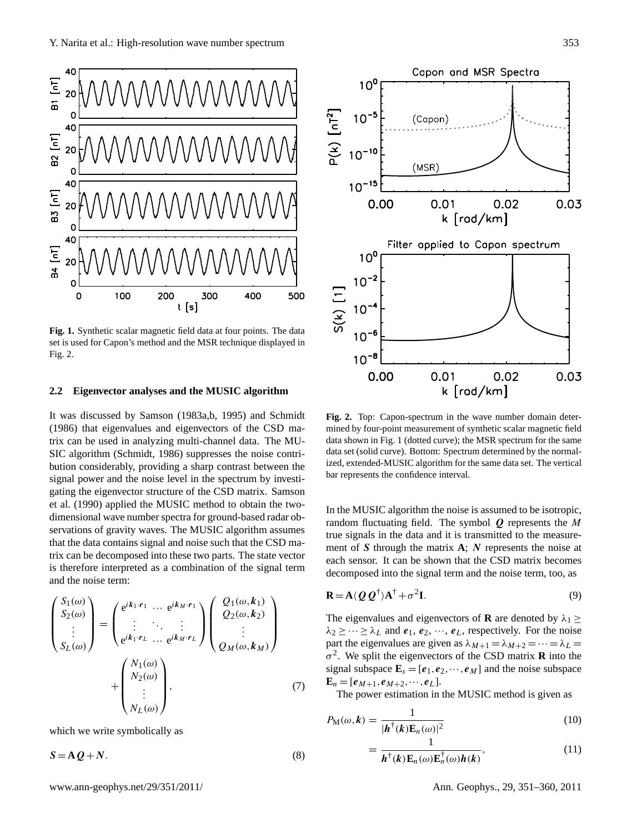

<span id="page-2-0"></span>**Fig. 1.** Synthetic scalar magnetic field data at four points. The data set is used for Capon's method and the MSR technique displayed in Fig. [2.](#page-2-1)

## **2.2 Eigenvector analyses and the MUSIC algorithm**

It was discussed by [Samson](#page-8-13) [\(1983a](#page-8-13)[,b,](#page-9-4) [1995\)](#page-9-5) and [Schmidt](#page-9-2) [\(1986\)](#page-9-2) that eigenvalues and eigenvectors of the CSD matrix can be used in analyzing multi-channel data. The MU-SIC algorithm [\(Schmidt,](#page-9-2) [1986\)](#page-9-2) suppresses the noise contribution considerably, providing a sharp contrast between the signal power and the noise level in the spectrum by investigating the eigenvector structure of the CSD matrix. [Samson](#page-9-6) [et al.](#page-9-6) [\(1990\)](#page-9-6) applied the MUSIC method to obtain the twodimensional wave number spectra for ground-based radar observations of gravity waves. The MUSIC algorithm assumes that the data contains signal and noise such that the CSD matrix can be decomposed into these two parts. The state vector is therefore interpreted as a combination of the signal term and the noise term:

$$
\begin{pmatrix}\nS_1(\omega) \\
S_2(\omega) \\
\vdots \\
S_L(\omega)\n\end{pmatrix} = \begin{pmatrix}\ne^{i k_1 r_1} & \cdots & e^{i k_M r_1} \\
\vdots & \ddots & \vdots \\
e^{i k_1 r_L} & \cdots & e^{i k_M r_L}\n\end{pmatrix} \begin{pmatrix}\nQ_1(\omega, k_1) \\
Q_2(\omega, k_2) \\
\vdots \\
Q_M(\omega, k_M)\n\end{pmatrix} + \begin{pmatrix}\nN_1(\omega) \\
N_2(\omega) \\
\vdots \\
N_L(\omega)\n\end{pmatrix},
$$
\n(7)

which we write symbolically as

 $S = A \, Q + N.$  (8)



<span id="page-2-1"></span>**Fig. 2.** Top: Capon-spectrum in the wave number domain determined by four-point measurement of synthetic scalar magnetic field data shown in Fig. [1](#page-2-0) (dotted curve); the MSR spectrum for the same data set (solid curve). Bottom: Spectrum determined by the normalized, extended-MUSIC algorithm for the same data set. The vertical bar represents the confidence interval.

In the MUSIC algorithm the noise is assumed to be isotropic, random fluctuating field. The symbol  $Q$  represents the  $M$ true signals in the data and it is transmitted to the measurement of S through the matrix **A**; N represents the noise at each sensor. It can be shown that the CSD matrix becomes decomposed into the signal term and the noise term, too, as

$$
\mathbf{R} = \mathbf{A} \langle \mathbf{Q} \mathbf{Q}^{\dagger} \rangle \mathbf{A}^{\dagger} + \sigma^2 \mathbf{I}.
$$
 (9)

The eigenvalues and eigenvectors of **R** are denoted by  $\lambda_1 \geq$  $\lambda_2 \geq \cdots \geq \lambda_L$  and  $e_1, e_2, \cdots, e_L$ , respectively. For the noise part the eigenvalues are given as  $\lambda_{M+1} = \lambda_{M+2} = \cdots = \lambda_L =$  $\sigma^2$ . We split the eigenvectors of the CSD matrix **R** into the signal subspace  $\mathbf{E}_s = [\boldsymbol{e}_1, \boldsymbol{e}_2, \cdots, \boldsymbol{e}_M]$  and the noise subspace  $$ 

The power estimation in the MUSIC method is given as

$$
P_{\mathbf{M}}(\omega,\mathbf{k}) = \frac{1}{|\mathbf{h}^{\dagger}(\mathbf{k})\mathbf{E}_n(\omega)|^2}
$$
(10)

$$
=\frac{1}{\mathbf{h}^{\dagger}(\mathbf{k})\mathbf{E}_n(\omega)\mathbf{E}_n^{\dagger}(\omega)\mathbf{h}(\mathbf{k})},\qquad(11)
$$

www.ann-geophys.net/29/351/2011/ Ann. Geophys., 29, 351[–360,](#page-0-0) 2011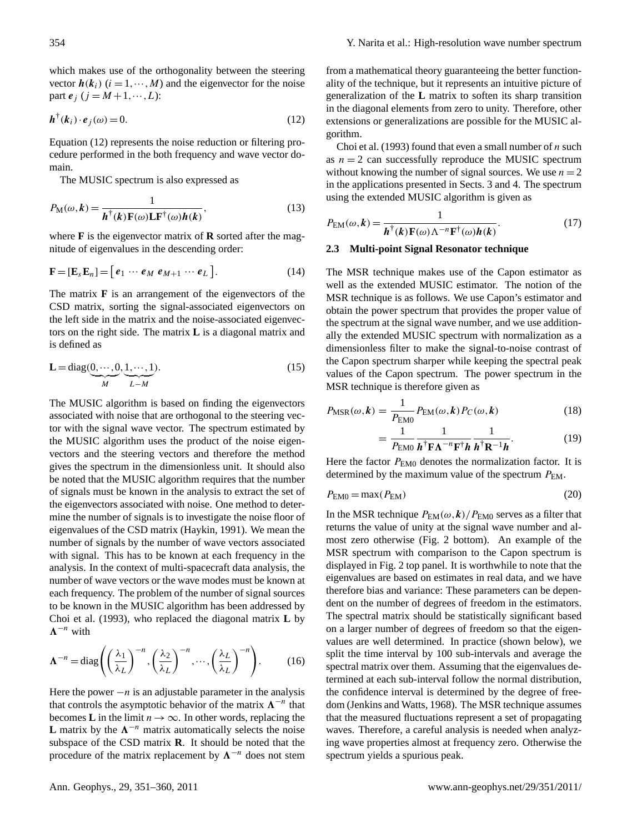<span id="page-3-0"></span>which makes use of the orthogonality between the steering vector  $h(k_i)$  ( $i = 1, \dots, M$ ) and the eigenvector for the noise part  $e_j$  ( $j = M + 1, \dots, L$ ):

$$
\boldsymbol{h}^{\dagger}(\boldsymbol{k}_i) \cdot \boldsymbol{e}_j(\omega) = 0. \tag{12}
$$

Equation [\(12\)](#page-3-0) represents the noise reduction or filtering procedure performed in the both frequency and wave vector domain.

The MUSIC spectrum is also expressed as

$$
P_{\mathbf{M}}(\omega, \mathbf{k}) = \frac{1}{\mathbf{h}^{\dagger}(\mathbf{k}) \mathbf{F}(\omega) \mathbf{L} \mathbf{F}^{\dagger}(\omega) \mathbf{h}(\mathbf{k})},\tag{13}
$$

where **F** is the eigenvector matrix of **R** sorted after the magnitude of eigenvalues in the descending order:

$$
\mathbf{F} = [\mathbf{E}_s \mathbf{E}_n] = [\boldsymbol{e}_1 \cdots \boldsymbol{e}_M \boldsymbol{e}_{M+1} \cdots \boldsymbol{e}_L]. \tag{14}
$$

The matrix **F** is an arrangement of the eigenvectors of the CSD matrix, sorting the signal-associated eigenvectors on the left side in the matrix and the noise-associated eigenvectors on the right side. The matrix **L** is a diagonal matrix and is defined as

$$
\mathbf{L} = \text{diag}(\underbrace{0, \cdots, 0}_{M}, \underbrace{1, \cdots, 1}_{L-M}).
$$
\n(15)

The MUSIC algorithm is based on finding the eigenvectors associated with noise that are orthogonal to the steering vector with the signal wave vector. The spectrum estimated by the MUSIC algorithm uses the product of the noise eigenvectors and the steering vectors and therefore the method gives the spectrum in the dimensionless unit. It should also be noted that the MUSIC algorithm requires that the number of signals must be known in the analysis to extract the set of the eigenvectors associated with noise. One method to determine the number of signals is to investigate the noise floor of eigenvalues of the CSD matrix [\(Haykin,](#page-8-12) [1991\)](#page-8-12). We mean the number of signals by the number of wave vectors associated with signal. This has to be known at each frequency in the analysis. In the context of multi-spacecraft data analysis, the number of wave vectors or the wave modes must be known at each frequency. The problem of the number of signal sources to be known in the MUSIC algorithm has been addressed by [Choi et al.](#page-7-1) [\(1993\)](#page-7-1), who replaced the diagonal matrix **L** by  $\Lambda^{-n}$  with

$$
\mathbf{\Lambda}^{-n} = \text{diag}\left(\left(\frac{\lambda_1}{\lambda_L}\right)^{-n}, \left(\frac{\lambda_2}{\lambda_L}\right)^{-n}, \cdots, \left(\frac{\lambda_L}{\lambda_L}\right)^{-n}\right). \tag{16}
$$

Here the power  $-n$  is an adjustable parameter in the analysis that controls the asymptotic behavior of the matrix  $\Lambda^{-n}$  that becomes **L** in the limit  $n \to \infty$ . In other words, replacing the **L** matrix by the  $\Lambda^{-n}$  matrix automatically selects the noise subspace of the CSD matrix **R**. It should be noted that the procedure of the matrix replacement by  $\Lambda^{-n}$  does not stem

from a mathematical theory guaranteeing the better functionality of the technique, but it represents an intuitive picture of generalization of the **L** matrix to soften its sharp transition in the diagonal elements from zero to unity. Therefore, other extensions or generalizations are possible for the MUSIC algorithm.

[Choi et al.](#page-7-1) [\(1993\)](#page-7-1) found that even a small number of  $n$  such as  $n = 2$  can successfully reproduce the MUSIC spectrum without knowing the number of signal sources. We use  $n = 2$ in the applications presented in Sects. 3 and 4. The spectrum using the extended MUSIC algorithm is given as

$$
P_{\text{EM}}(\omega, k) = \frac{1}{\boldsymbol{h}^{\dagger}(k)\mathbf{F}(\omega)\Lambda^{-n}\mathbf{F}^{\dagger}(\omega)\boldsymbol{h}(k)}.
$$
 (17)

## **2.3 Multi-point Signal Resonator technique**

The MSR technique makes use of the Capon estimator as well as the extended MUSIC estimator. The notion of the MSR technique is as follows. We use Capon's estimator and obtain the power spectrum that provides the proper value of the spectrum at the signal wave number, and we use additionally the extended MUSIC spectrum with normalization as a dimensionless filter to make the signal-to-noise contrast of the Capon spectrum sharper while keeping the spectral peak values of the Capon spectrum. The power spectrum in the MSR technique is therefore given as

$$
P_{\text{MSR}}(\omega, \mathbf{k}) = \frac{1}{P_{\text{EM}0}} P_{\text{EM}}(\omega, \mathbf{k}) P_C(\omega, \mathbf{k})
$$
(18)

$$
= \frac{1}{P_{\text{EMO}}} \frac{1}{\boldsymbol{h}^{\dagger} \mathbf{F} \boldsymbol{\Lambda}^{-n} \mathbf{F}^{\dagger} \boldsymbol{h}} \frac{1}{\boldsymbol{h}^{\dagger} \mathbf{R}^{-1} \boldsymbol{h}}.
$$
 (19)

Here the factor  $P_{EM0}$  denotes the normalization factor. It is determined by the maximum value of the spectrum  $P_{EM}$ .

$$
P_{\text{EM}0} = \max(P_{\text{EM}}) \tag{20}
$$

In the MSR technique  $P_{EM}(\omega, k)/P_{EM0}$  serves as a filter that returns the value of unity at the signal wave number and almost zero otherwise (Fig. 2 bottom). An example of the MSR spectrum with comparison to the Capon spectrum is displayed in Fig. 2 top panel. It is worthwhile to note that the eigenvalues are based on estimates in real data, and we have therefore bias and variance: These parameters can be dependent on the number of degrees of freedom in the estimators. The spectral matrix should be statistically significant based on a larger number of degrees of freedom so that the eigenvalues are well determined. In practice (shown below), we split the time interval by 100 sub-intervals and average the spectral matrix over them. Assuming that the eigenvalues determined at each sub-interval follow the normal distribution, the confidence interval is determined by the degree of freedom [\(Jenkins and Watts,](#page-8-14) [1968\)](#page-8-14). The MSR technique assumes that the measured fluctuations represent a set of propagating waves. Therefore, a careful analysis is needed when analyzing wave properties almost at frequency zero. Otherwise the spectrum yields a spurious peak.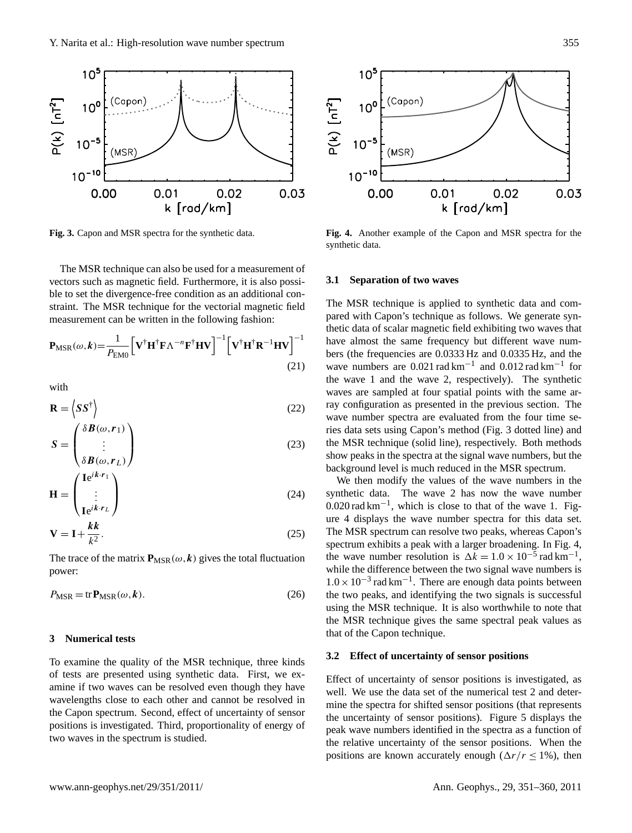

<span id="page-4-0"></span>**Fig. 3.** Capon and MSR spectra for the synthetic data.

The MSR technique can also be used for a measurement of vectors such as magnetic field. Furthermore, it is also possible to set the divergence-free condition as an additional constraint. The MSR technique for the vectorial magnetic field measurement can be written in the following fashion:

$$
\mathbf{P}_{\text{MSR}}(\omega,\mathbf{k}) = \frac{1}{P_{\text{EMO}}} \left[ \mathbf{V}^{\dagger} \mathbf{H}^{\dagger} \mathbf{F} \boldsymbol{\Lambda}^{-n} \mathbf{F}^{\dagger} \mathbf{H} \mathbf{V} \right]^{-1} \left[ \mathbf{V}^{\dagger} \mathbf{H}^{\dagger} \mathbf{R}^{-1} \mathbf{H} \mathbf{V} \right]^{-1} \tag{21}
$$

with

$$
\mathbf{R} = \langle S S^{\dagger} \rangle \tag{22}
$$

$$
S = \begin{pmatrix} \delta B(\omega, r_1) \\ \vdots \\ \delta B(\omega, r_L) \end{pmatrix}
$$
 (23)

$$
\mathbf{H} = \begin{pmatrix} \mathbf{I}e^{ik \cdot r_1} \\ \vdots \\ \mathbf{I}e^{ik \cdot r_L} \end{pmatrix}
$$
 (24)

$$
\mathbf{V} = \mathbf{I} + \frac{k k}{k^2}.\tag{25}
$$

The trace of the matrix  $P_{MSR}(\omega, k)$  gives the total fluctuation power:

$$
P_{\text{MSR}} = \text{tr} \, \mathbf{P}_{\text{MSR}}(\omega, k). \tag{26}
$$

## **3 Numerical tests**

To examine the quality of the MSR technique, three kinds of tests are presented using synthetic data. First, we examine if two waves can be resolved even though they have wavelengths close to each other and cannot be resolved in the Capon spectrum. Second, effect of uncertainty of sensor positions is investigated. Third, proportionality of energy of two waves in the spectrum is studied.



<span id="page-4-1"></span>**Fig. 4.** Another example of the Capon and MSR spectra for the synthetic data.

#### **3.1 Separation of two waves**

The MSR technique is applied to synthetic data and compared with Capon's technique as follows. We generate synthetic data of scalar magnetic field exhibiting two waves that have almost the same frequency but different wave numbers (the frequencies are 0.0333 Hz and 0.0335 Hz, and the wave numbers are  $0.021$  rad km<sup>-1</sup> and  $0.012$  rad km<sup>-1</sup> for the wave 1 and the wave 2, respectively). The synthetic waves are sampled at four spatial points with the same array configuration as presented in the previous section. The wave number spectra are evaluated from the four time series data sets using Capon's method (Fig. [3](#page-4-0) dotted line) and the MSR technique (solid line), respectively. Both methods show peaks in the spectra at the signal wave numbers, but the background level is much reduced in the MSR spectrum.

We then modify the values of the wave numbers in the synthetic data. The wave 2 has now the wave number  $0.020$  rad km<sup>-1</sup>, which is close to that of the wave 1. Figure [4](#page-4-1) displays the wave number spectra for this data set. The MSR spectrum can resolve two peaks, whereas Capon's spectrum exhibits a peak with a larger broadening. In Fig. [4,](#page-4-1) the wave number resolution is  $\Delta k = 1.0 \times 10^{-5}$  rad km<sup>-1</sup>, while the difference between the two signal wave numbers is  $1.0 \times 10^{-3}$  rad km<sup>-1</sup>. There are enough data points between the two peaks, and identifying the two signals is successful using the MSR technique. It is also worthwhile to note that the MSR technique gives the same spectral peak values as that of the Capon technique.

## **3.2 Effect of uncertainty of sensor positions**

Effect of uncertainty of sensor positions is investigated, as well. We use the data set of the numerical test 2 and determine the spectra for shifted sensor positions (that represents the uncertainty of sensor positions). Figure [5](#page-5-0) displays the peak wave numbers identified in the spectra as a function of the relative uncertainty of the sensor positions. When the positions are known accurately enough ( $\Delta r/r \le 1\%$ ), then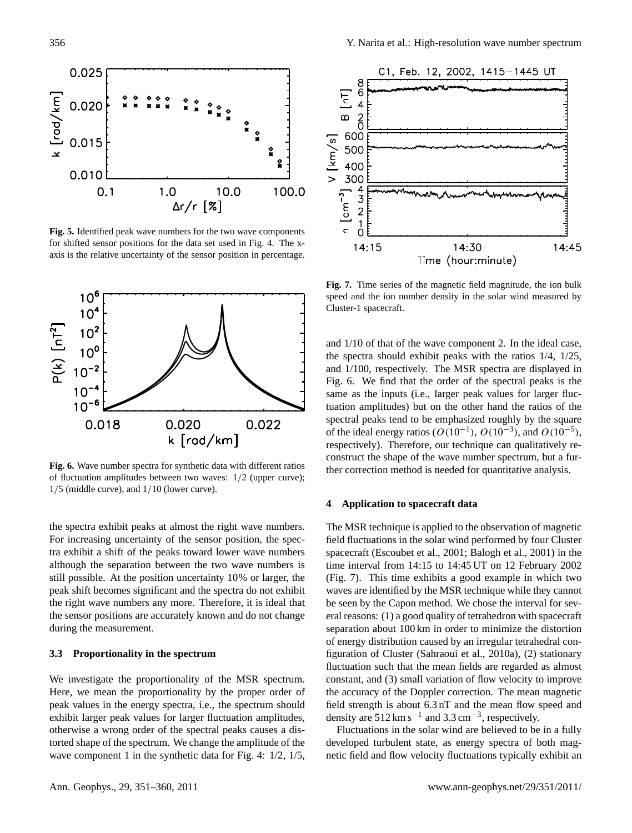

<span id="page-5-0"></span>**Fig. 5.** Identified peak wave numbers for the two wave components for shifted sensor positions for the data set used in Fig. [4.](#page-4-1) The xaxis is the relative uncertainty of the sensor position in percentage.



<span id="page-5-1"></span>**Fig. 6.** Wave number spectra for synthetic data with different ratios of fluctuation amplitudes between two waves: 1/2 (upper curve); 1/5 (middle curve), and 1/10 (lower curve).

the spectra exhibit peaks at almost the right wave numbers. For increasing uncertainty of the sensor position, the spectra exhibit a shift of the peaks toward lower wave numbers although the separation between the two wave numbers is still possible. At the position uncertainty 10% or larger, the peak shift becomes significant and the spectra do not exhibit the right wave numbers any more. Therefore, it is ideal that the sensor positions are accurately known and do not change during the measurement.

## **3.3 Proportionality in the spectrum**

We investigate the proportionality of the MSR spectrum. Here, we mean the proportionality by the proper order of peak values in the energy spectra, i.e., the spectrum should exhibit larger peak values for larger fluctuation amplitudes, otherwise a wrong order of the spectral peaks causes a distorted shape of the spectrum. We change the amplitude of the wave component 1 in the synthetic data for Fig. [4:](#page-4-1) 1/2, 1/5,



<span id="page-5-2"></span>**Fig. 7.** Time series of the magnetic field magnitude, the ion bulk speed and the ion number density in the solar wind measured by Cluster-1 spacecraft.

and 1/10 of that of the wave component 2. In the ideal case, the spectra should exhibit peaks with the ratios 1/4, 1/25, and 1/100, respectively. The MSR spectra are displayed in Fig. [6.](#page-5-1) We find that the order of the spectral peaks is the same as the inputs (i.e., larger peak values for larger fluctuation amplitudes) but on the other hand the ratios of the spectral peaks tend to be emphasized roughly by the square of the ideal energy ratios ( $O(10^{-1})$ ,  $O(10^{-3})$ , and  $O(10^{-5})$ , respectively). Therefore, our technique can qualitatively reconstruct the shape of the wave number spectrum, but a further correction method is needed for quantitative analysis.

### **4 Application to spacecraft data**

The MSR technique is applied to the observation of magnetic field fluctuations in the solar wind performed by four Cluster spacecraft [\(Escoubet et al.,](#page-8-15) [2001;](#page-8-15) [Balogh et al.,](#page-7-2) [2001\)](#page-7-2) in the time interval from 14:15 to 14:45 UT on 12 February 2002 (Fig. [7\)](#page-5-2). This time exhibits a good example in which two waves are identified by the MSR technique while they cannot be seen by the Capon method. We chose the interval for several reasons: (1) a good quality of tetrahedron with spacecraft separation about 100 km in order to minimize the distortion of energy distribution caused by an irregular tetrahedral configuration of Cluster [\(Sahraoui et al.,](#page-8-16) [2010a\)](#page-8-16), (2) stationary fluctuation such that the mean fields are regarded as almost constant, and (3) small variation of flow velocity to improve the accuracy of the Doppler correction. The mean magnetic field strength is about 6.3 nT and the mean flow speed and density are  $512 \text{ km s}^{-1}$  and  $3.3 \text{ cm}^{-3}$ , respectively.

Fluctuations in the solar wind are believed to be in a fully developed turbulent state, as energy spectra of both magnetic field and flow velocity fluctuations typically exhibit an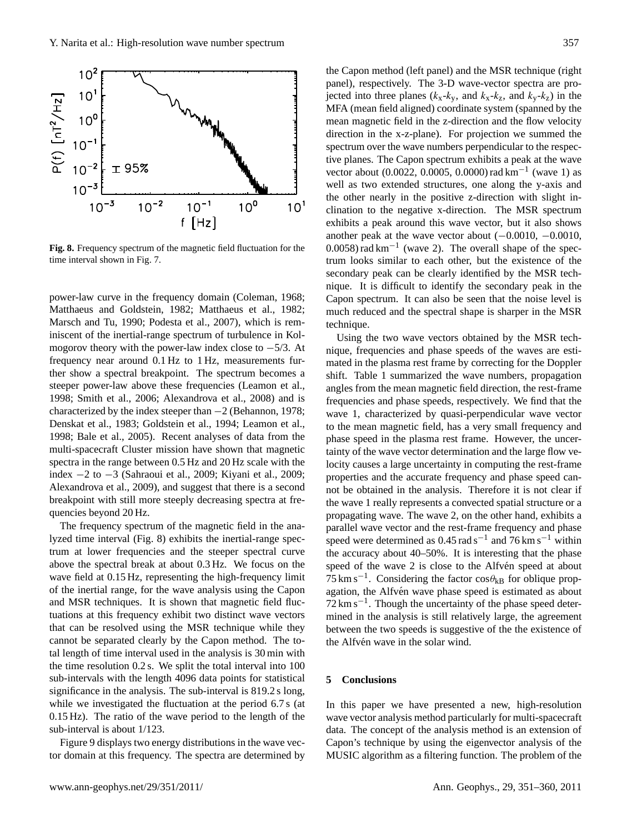

<span id="page-6-0"></span>**Fig. 8.** Frequency spectrum of the magnetic field fluctuation for the time interval shown in Fig. [7.](#page-5-2)

power-law curve in the frequency domain [\(Coleman,](#page-8-17) [1968;](#page-8-17) [Matthaeus and Goldstein,](#page-8-18) [1982;](#page-8-18) [Matthaeus et al.,](#page-8-19) [1982;](#page-8-19) [Marsch and Tu,](#page-8-20) [1990;](#page-8-20) [Podesta et al.,](#page-8-21) [2007\)](#page-8-21), which is reminiscent of the inertial-range spectrum of turbulence in Kolmogorov theory with the power-law index close to −5/3. At frequency near around 0.1 Hz to 1 Hz, measurements further show a spectral breakpoint. The spectrum becomes a steeper power-law above these frequencies [\(Leamon et al.,](#page-8-22) [1998;](#page-8-22) [Smith et al.,](#page-9-7) [2006;](#page-9-7) [Alexandrova et al.,](#page-7-3) [2008\)](#page-7-3) and is characterized by the index steeper than −2 [\(Behannon,](#page-7-4) [1978;](#page-7-4) [Denskat et al.,](#page-8-23) [1983;](#page-8-23) [Goldstein et al.,](#page-8-24) [1994;](#page-8-24) [Leamon et al.,](#page-8-22) [1998;](#page-8-22) [Bale et al.,](#page-7-5) [2005\)](#page-7-5). Recent analyses of data from the multi-spacecraft Cluster mission have shown that magnetic spectra in the range between 0.5 Hz and 20 Hz scale with the index −2 to −3 [\(Sahraoui et al.,](#page-8-25) [2009;](#page-8-25) [Kiyani et al.,](#page-8-26) [2009;](#page-8-26) [Alexandrova et al.,](#page-7-6) [2009\)](#page-7-6), and suggest that there is a second breakpoint with still more steeply decreasing spectra at frequencies beyond 20 Hz.

The frequency spectrum of the magnetic field in the analyzed time interval (Fig. [8\)](#page-6-0) exhibits the inertial-range spectrum at lower frequencies and the steeper spectral curve above the spectral break at about 0.3 Hz. We focus on the wave field at 0.15 Hz, representing the high-frequency limit of the inertial range, for the wave analysis using the Capon and MSR techniques. It is shown that magnetic field fluctuations at this frequency exhibit two distinct wave vectors that can be resolved using the MSR technique while they cannot be separated clearly by the Capon method. The total length of time interval used in the analysis is 30 min with the time resolution 0.2 s. We split the total interval into 100 sub-intervals with the length 4096 data points for statistical significance in the analysis. The sub-interval is 819.2 s long, while we investigated the fluctuation at the period 6.7 s (at 0.15 Hz). The ratio of the wave period to the length of the sub-interval is about 1/123.

Figure [9](#page-7-7) displays two energy distributions in the wave vector domain at this frequency. The spectra are determined by

the Capon method (left panel) and the MSR technique (right panel), respectively. The 3-D wave-vector spectra are projected into three planes  $(k_x-k_y)$ , and  $k_x-k_z$ , and  $k_y-k_z$ ) in the MFA (mean field aligned) coordinate system (spanned by the mean magnetic field in the z-direction and the flow velocity direction in the x-z-plane). For projection we summed the spectrum over the wave numbers perpendicular to the respective planes. The Capon spectrum exhibits a peak at the wave vector about (0.0022, 0.0005, 0.0000) rad km−<sup>1</sup> (wave 1) as well as two extended structures, one along the y-axis and the other nearly in the positive z-direction with slight inclination to the negative x-direction. The MSR spectrum exhibits a peak around this wave vector, but it also shows another peak at the wave vector about  $(-0.0010, -0.0010,$  $0.0058$ ) rad km<sup>-1</sup> (wave 2). The overall shape of the spectrum looks similar to each other, but the existence of the secondary peak can be clearly identified by the MSR technique. It is difficult to identify the secondary peak in the Capon spectrum. It can also be seen that the noise level is much reduced and the spectral shape is sharper in the MSR technique.

Using the two wave vectors obtained by the MSR technique, frequencies and phase speeds of the waves are estimated in the plasma rest frame by correcting for the Doppler shift. Table 1 summarized the wave numbers, propagation angles from the mean magnetic field direction, the rest-frame frequencies and phase speeds, respectively. We find that the wave 1, characterized by quasi-perpendicular wave vector to the mean magnetic field, has a very small frequency and phase speed in the plasma rest frame. However, the uncertainty of the wave vector determination and the large flow velocity causes a large uncertainty in computing the rest-frame properties and the accurate frequency and phase speed cannot be obtained in the analysis. Therefore it is not clear if the wave 1 really represents a convected spatial structure or a propagating wave. The wave 2, on the other hand, exhibits a parallel wave vector and the rest-frame frequency and phase speed were determined as  $0.45 \text{ rad s}^{-1}$  and  $76 \text{ km s}^{-1}$  within the accuracy about 40–50%. It is interesting that the phase speed of the wave 2 is close to the Alfvén speed at about 75 km s<sup>-1</sup>. Considering the factor cos $\theta_{kB}$  for oblique propagation, the Alfvén wave phase speed is estimated as about 72 km s<sup>-1</sup>. Though the uncertainty of the phase speed determined in the analysis is still relatively large, the agreement between the two speeds is suggestive of the the existence of the Alfvén wave in the solar wind.

## **5 Conclusions**

In this paper we have presented a new, high-resolution wave vector analysis method particularly for multi-spacecraft data. The concept of the analysis method is an extension of Capon's technique by using the eigenvector analysis of the MUSIC algorithm as a filtering function. The problem of the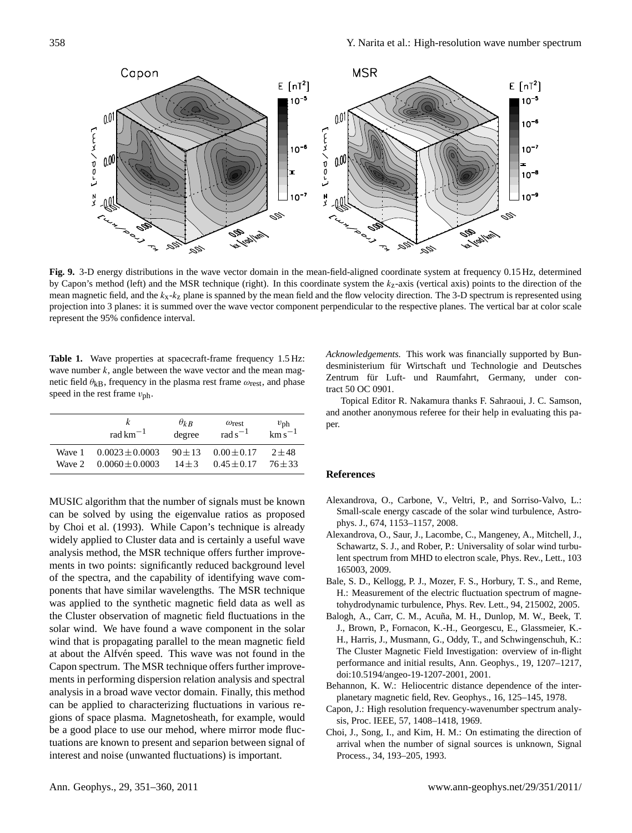

<span id="page-7-7"></span>**Fig. 9.** 3-D energy distributions in the wave vector domain in the mean-field-aligned coordinate system at frequency 0.15 Hz, determined by Capon's method (left) and the MSR technique (right). In this coordinate system the  $k_z$ -axis (vertical axis) points to the direction of the mean magnetic field, and the  $k_x-k_z$  plane is spanned by the mean field and the flow velocity direction. The 3-D spectrum is represented using projection into 3 planes: it is summed over the wave vector component perpendicular to the respective planes. The vertical bar at color scale represent the 95% confidence interval.

**Table 1.** Wave properties at spacecraft-frame frequency 1.5 Hz: wave number  $k$ , angle between the wave vector and the mean magnetic field  $\theta_{kB}$ , frequency in the plasma rest frame  $\omega_{rest}$ , and phase speed in the rest frame  $v_{\text{ph}}$ .

|        | rad $km^{-1}$       | $\theta_{k}$ R<br>degree | $\omega_{\text{rest}}$<br>rad $s^{-1}$ | $v_{\rm ph}$<br>$km s^{-1}$ |
|--------|---------------------|--------------------------|----------------------------------------|-----------------------------|
| Wave 1 | $0.0023 \pm 0.0003$ | $90 + 13$                | $0.00 + 0.17$                          | $2 + 48$                    |
| Wave 2 | $0.0060 \pm 0.0003$ | $14 + 3$                 | $0.45 \pm 0.17$                        | $76 + 33$                   |

MUSIC algorithm that the number of signals must be known can be solved by using the eigenvalue ratios as proposed by [Choi et al.](#page-7-1) [\(1993\)](#page-7-1). While Capon's technique is already widely applied to Cluster data and is certainly a useful wave analysis method, the MSR technique offers further improvements in two points: significantly reduced background level of the spectra, and the capability of identifying wave components that have similar wavelengths. The MSR technique was applied to the synthetic magnetic field data as well as the Cluster observation of magnetic field fluctuations in the solar wind. We have found a wave component in the solar wind that is propagating parallel to the mean magnetic field at about the Alfvén speed. This wave was not found in the Capon spectrum. The MSR technique offers further improvements in performing dispersion relation analysis and spectral analysis in a broad wave vector domain. Finally, this method can be applied to characterizing fluctuations in various regions of space plasma. Magnetosheath, for example, would be a good place to use our mehod, where mirror mode fluctuations are known to present and separion between signal of interest and noise (unwanted fluctuations) is important.

*Acknowledgements.* This work was financially supported by Bundesministerium für Wirtschaft und Technologie and Deutsches Zentrum für Luft- und Raumfahrt, Germany, under contract 50 OC 0901.

Topical Editor R. Nakamura thanks F. Sahraoui, J. C. Samson, and another anonymous referee for their help in evaluating this paper.

## **References**

- <span id="page-7-3"></span>Alexandrova, O., Carbone, V., Veltri, P., and Sorriso-Valvo, L.: Small-scale energy cascade of the solar wind turbulence, Astrophys. J., 674, 1153–1157, 2008.
- <span id="page-7-6"></span>Alexandrova, O., Saur, J., Lacombe, C., Mangeney, A., Mitchell, J., Schawartz, S. J., and Rober, P.: Universality of solar wind turbulent spectrum from MHD to electron scale, Phys. Rev., Lett., 103 165003, 2009.
- <span id="page-7-5"></span>Bale, S. D., Kellogg, P. J., Mozer, F. S., Horbury, T. S., and Reme, H.: Measurement of the electric fluctuation spectrum of magnetohydrodynamic turbulence, Phys. Rev. Lett., 94, 215002, 2005.
- <span id="page-7-2"></span>Balogh, A., Carr, C. M., Acuña, M. H., Dunlop, M. W., Beek, T. J., Brown, P., Fornacon, K.-H., Georgescu, E., Glassmeier, K.- H., Harris, J., Musmann, G., Oddy, T., and Schwingenschuh, K.: The Cluster Magnetic Field Investigation: overview of in-flight performance and initial results, Ann. Geophys., 19, 1207–1217, [doi:10.5194/angeo-19-1207-2001,](http://dx.doi.org/10.5194/angeo-19-1207-2001) 2001.
- <span id="page-7-4"></span>Behannon, K. W.: Heliocentric distance dependence of the interplanetary magnetic field, Rev. Geophys., 16, 125–145, 1978.
- <span id="page-7-0"></span>Capon, J.: High resolution frequency-wavenumber spectrum analysis, Proc. IEEE, 57, 1408–1418, 1969.
- <span id="page-7-1"></span>Choi, J., Song, I., and Kim, H. M.: On estimating the direction of arrival when the number of signal sources is unknown, Signal Process., 34, 193–205, 1993.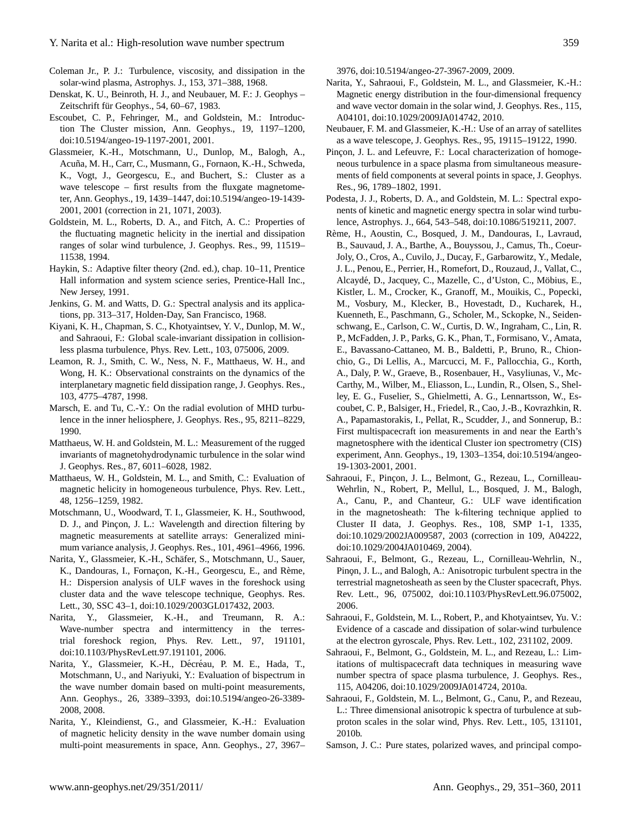- <span id="page-8-17"></span>Coleman Jr., P. J.: Turbulence, viscosity, and dissipation in the solar-wind plasma, Astrophys. J., 153, 371–388, 1968.
- <span id="page-8-23"></span>Denskat, K. U., Beinroth, H. J., and Neubauer, M. F.: J. Geophys – Zeitschrift für Geophys., 54, 60–67, 1983.
- <span id="page-8-15"></span>Escoubet, C. P., Fehringer, M., and Goldstein, M.: Introduction The Cluster mission, Ann. Geophys., 19, 1197–1200, [doi:10.5194/angeo-19-1197-2001,](http://dx.doi.org/10.5194/angeo-19-1197-2001) 2001.
- <span id="page-8-3"></span>Glassmeier, K.-H., Motschmann, U., Dunlop, M., Balogh, A., Acuña, M. H., Carr, C., Musmann, G., Fornaon, K.-H., Schweda, K., Vogt, J., Georgescu, E., and Buchert, S.: Cluster as a wave telescope – first results from the fluxgate magnetometer, Ann. Geophys., 19, 1439–1447, [doi:10.5194/angeo-19-1439-](http://dx.doi.org/10.5194/angeo-19-1439-2001) [2001,](http://dx.doi.org/10.5194/angeo-19-1439-2001) 2001 (correction in 21, 1071, 2003).
- <span id="page-8-24"></span>Goldstein, M. L., Roberts, D. A., and Fitch, A. C.: Properties of the fluctuating magnetic helicity in the inertial and dissipation ranges of solar wind turbulence, J. Geophys. Res., 99, 11519– 11538, 1994.
- <span id="page-8-12"></span>Haykin, S.: Adaptive filter theory (2nd. ed.), chap. 10–11, Prentice Hall information and system science series, Prentice-Hall Inc., New Jersey, 1991.
- <span id="page-8-14"></span>Jenkins, G. M. and Watts, D. G.: Spectral analysis and its applications, pp. 313–317, Holden-Day, San Francisco, 1968.
- <span id="page-8-26"></span>Kiyani, K. H., Chapman, S. C., Khotyaintsev, Y. V., Dunlop, M. W., and Sahraoui, F.: Global scale-invariant dissipation in collisionless plasma turbulence, Phys. Rev. Lett., 103, 075006, 2009.
- <span id="page-8-22"></span>Leamon, R. J., Smith, C. W., Ness, N. F., Matthaeus, W. H., and Wong, H. K.: Observational constraints on the dynamics of the interplanetary magnetic field dissipation range, J. Geophys. Res., 103, 4775–4787, 1998.
- <span id="page-8-20"></span>Marsch, E. and Tu, C.-Y.: On the radial evolution of MHD turbulence in the inner heliosphere, J. Geophys. Res., 95, 8211–8229, 1990.
- <span id="page-8-18"></span>Matthaeus, W. H. and Goldstein, M. L.: Measurement of the rugged invariants of magnetohydrodynamic turbulence in the solar wind J. Geophys. Res., 87, 6011–6028, 1982.
- <span id="page-8-19"></span>Matthaeus, W. H., Goldstein, M. L., and Smith, C.: Evaluation of magnetic helicity in homogeneous turbulence, Phys. Rev. Lett., 48, 1256–1259, 1982.
- <span id="page-8-2"></span>Motschmann, U., Woodward, T. I., Glassmeier, K. H., Southwood, D. J., and Pincon, J. L.: Wavelength and direction filtering by magnetic measurements at satellite arrays: Generalized minimum variance analysis, J. Geophys. Res., 101, 4961–4966, 1996.
- <span id="page-8-4"></span>Narita, Y., Glassmeier, K.-H., Schafer, S., Motschmann, U., Sauer, ¨ K., Dandouras, I., Fornaçon, K.-H., Georgescu, E., and Rème, H.: Dispersion analysis of ULF waves in the foreshock using cluster data and the wave telescope technique, Geophys. Res. Lett., 30, SSC 43–1, [doi:10.1029/2003GL017432,](http://dx.doi.org/10.1029/2003GL017432) 2003.
- <span id="page-8-7"></span>Narita, Y., Glassmeier, K.-H., and Treumann, R. A.: Wave-number spectra and intermittency in the terrestrial foreshock region, Phys. Rev. Lett., 97, 191101, [doi:10.1103/PhysRevLett.97.191101,](http://dx.doi.org/10.1103/PhysRevLett.97.191101) 2006.
- <span id="page-8-11"></span>Narita, Y., Glassmeier, K.-H., Décréau, P. M. E., Hada, T., Motschmann, U., and Nariyuki, Y.: Evaluation of bispectrum in the wave number domain based on multi-point measurements, Ann. Geophys., 26, 3389–3393, [doi:10.5194/angeo-26-3389-](http://dx.doi.org/10.5194/angeo-26-3389-2008) [2008,](http://dx.doi.org/10.5194/angeo-26-3389-2008) 2008.
- <span id="page-8-10"></span>Narita, Y., Kleindienst, G., and Glassmeier, K.-H.: Evaluation of magnetic helicity density in the wave number domain using multi-point measurements in space, Ann. Geophys., 27, 3967–

3976, [doi:10.5194/angeo-27-3967-2009,](http://dx.doi.org/10.5194/angeo-27-3967-2009) 2009.

- <span id="page-8-9"></span>Narita, Y., Sahraoui, F., Goldstein, M. L., and Glassmeier, K.-H.: Magnetic energy distribution in the four-dimensional frequency and wave vector domain in the solar wind, J. Geophys. Res., 115, A04101, [doi:10.1029/2009JA014742,](http://dx.doi.org/10.1029/2009JA014742) 2010.
- <span id="page-8-0"></span>Neubauer, F. M. and Glassmeier, K.-H.: Use of an array of satellites as a wave telescope, J. Geophys. Res., 95, 19115–19122, 1990.
- <span id="page-8-1"></span>Pinçon, J. L. and Lefeuvre, F.: Local characterization of homogeneous turbulence in a space plasma from simultaneous measurements of field components at several points in space, J. Geophys. Res., 96, 1789–1802, 1991.
- <span id="page-8-21"></span>Podesta, J. J., Roberts, D. A., and Goldstein, M. L.: Spectral exponents of kinetic and magnetic energy spectra in solar wind turbulence, Astrophys. J., 664, 543–548, [doi:10.1086/519211,](http://dx.doi.org/10.1086/519211) 2007.
- Reme, H., Aoustin, C., Bosqued, J. M., Dandouras, I., Lavraud, ` B., Sauvaud, J. A., Barthe, A., Bouyssou, J., Camus, Th., Coeur-Joly, O., Cros, A., Cuvilo, J., Ducay, F., Garbarowitz, Y., Medale, J. L., Penou, E., Perrier, H., Romefort, D., Rouzaud, J., Vallat, C., Alcaydé, D., Jacquey, C., Mazelle, C., d'Uston, C., Möbius, E., Kistler, L. M., Crocker, K., Granoff, M., Mouikis, C., Popecki, M., Vosbury, M., Klecker, B., Hovestadt, D., Kucharek, H., Kuenneth, E., Paschmann, G., Scholer, M., Sckopke, N., Seidenschwang, E., Carlson, C. W., Curtis, D. W., Ingraham, C., Lin, R. P., McFadden, J. P., Parks, G. K., Phan, T., Formisano, V., Amata, E., Bavassano-Cattaneo, M. B., Baldetti, P., Bruno, R., Chionchio, G., Di Lellis, A., Marcucci, M. F., Pallocchia, G., Korth, A., Daly, P. W., Graeve, B., Rosenbauer, H., Vasyliunas, V., Mc-Carthy, M., Wilber, M., Eliasson, L., Lundin, R., Olsen, S., Shelley, E. G., Fuselier, S., Ghielmetti, A. G., Lennartsson, W., Escoubet, C. P., Balsiger, H., Friedel, R., Cao, J.-B., Kovrazhkin, R. A., Papamastorakis, I., Pellat, R., Scudder, J., and Sonnerup, B.: First multispacecraft ion measurements in and near the Earth's magnetosphere with the identical Cluster ion spectrometry (CIS) experiment, Ann. Geophys., 19, 1303–1354, [doi:10.5194/angeo-](http://dx.doi.org/10.5194/angeo-19-1303-2001)[19-1303-2001,](http://dx.doi.org/10.5194/angeo-19-1303-2001) 2001.
- <span id="page-8-5"></span>Sahraoui, F., Pinçon, J. L., Belmont, G., Rezeau, L., Cornilleau-Wehrlin, N., Robert, P., Mellul, L., Bosqued, J. M., Balogh, A., Canu, P., and Chanteur, G.: ULF wave identification in the magnetosheath: The k-filtering technique applied to Cluster II data, J. Geophys. Res., 108, SMP 1-1, 1335, [doi:10.1029/2002JA009587,](http://dx.doi.org/10.1029/2002JA009587) 2003 (correction in 109, A04222, [doi:10.1029/2004JA010469,](http://dx.doi.org/10.1029/2004JA010469) 2004).
- <span id="page-8-8"></span>Sahraoui, F., Belmont, G., Rezeau, L., Cornilleau-Wehrlin, N., Pinon, J. L., and Balogh, A.: Anisotropic turbulent spectra in the terrestrial magnetosheath as seen by the Cluster spacecraft, Phys. Rev. Lett., 96, 075002, [doi:10.1103/PhysRevLett.96.075002,](http://dx.doi.org/10.1103/PhysRevLett.96.075002) 2006.
- <span id="page-8-25"></span>Sahraoui, F., Goldstein, M. L., Robert, P., and Khotyaintsev, Yu. V.: Evidence of a cascade and dissipation of solar-wind turbulence at the electron gyroscale, Phys. Rev. Lett., 102, 231102, 2009.
- <span id="page-8-16"></span>Sahraoui, F., Belmont, G., Goldstein, M. L., and Rezeau, L.: Limitations of multispacecraft data techniques in measuring wave number spectra of space plasma turbulence, J. Geophys. Res., 115, A04206, [doi:10.1029/2009JA014724,](http://dx.doi.org/10.1029/2009JA014724) 2010a.
- <span id="page-8-6"></span>Sahraoui, F., Goldstein, M. L., Belmont, G., Canu, P., and Rezeau, L.: Three dimensional anisotropic k spectra of turbulence at subproton scales in the solar wind, Phys. Rev. Lett., 105, 131101, 2010b.
- <span id="page-8-13"></span>Samson, J. C.: Pure states, polarized waves, and principal compo-